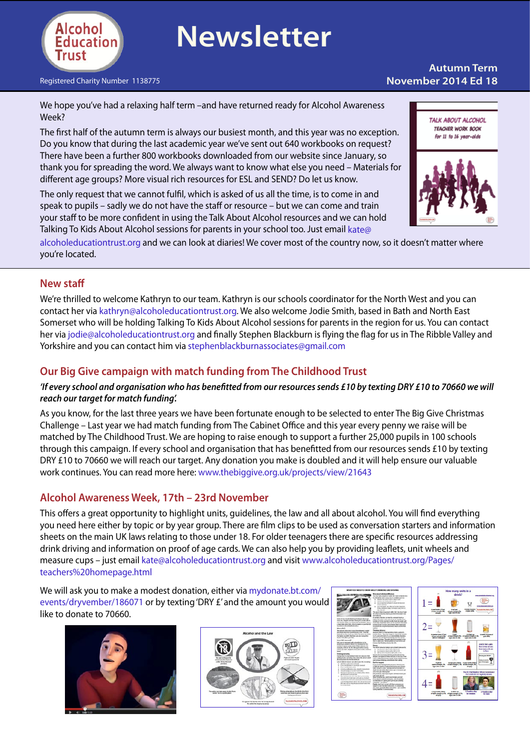

# **Newsletter**

Registered Charity Number 1138775 **November 2014 Ed 18**

# **Autumn Term**

We hope you've had a relaxing half term –and have returned ready for Alcohol Awareness Week?

The first half of the autumn term is always our busiest month, and this year was no exception. Do you know that during the last academic year we've sent out 640 workbooks on request? There have been a further 800 workbooks downloaded from our website since January, so thank you for spreading the word. We always want to know what else you need – Materials for different age groups? More visual rich resources for ESL and SEND? Do let us know.

The only request that we cannot fulfil, which is asked of us all the time, is to come in and speak to pupils – sadly we do not have the staff or resource – but we can come and train your staff to be more confident in using the Talk About Alcohol resources and we can hold Talking To Kids About Alcohol sessions for parents in your school too. Just email [kate@](mailto:kate@alcoholeducationtrust.org)

[alcoholeducationtrust.org](mailto:kate@alcoholeducationtrust.org) and we can look at diaries! We cover most of the country now, so it doesn't matter where you're located.

#### **New staff**

We're thrilled to welcome Kathryn to our team. Kathryn is our schools coordinator for the North West and you can contact her via [kathryn@alcoholeducationtrust.org.](mailto:kathryn@alcoholeducationtrust.org) We also welcome Jodie Smith, based in Bath and North East Somerset who will be holding Talking To Kids About Alcohol sessions for parents in the region for us. You can contact her via [jodie@alcoholeducationtrust.org](mailto:jodie@alcoholeducationtrust.org) and finally Stephen Blackburn is flying the flag for us in The Ribble Valley and Yorkshire and you can contact him via [stephenblackburnassociates@gmail.com](mailto:stephenblackburnassociates@gmail.com)

### **Our Big Give campaign with match funding from The Childhood Trust**

#### *'If every school and organisation who has benefitted from our resources sends £10 by texting DRY £10 to 70660 we will reach our target for match funding'.*

As you know, for the last three years we have been fortunate enough to be selected to enter The Big Give Christmas Challenge – Last year we had match funding from The Cabinet Office and this year every penny we raise will be matched by The Childhood Trust. We are hoping to raise enough to support a further 25,000 pupils in 100 schools through this campaign. If every school and organisation that has benefitted from our resources sends £10 by texting DRY £10 to 70660 we will reach our target. Any donation you make is doubled and it will help ensure our valuable work continues. You can read more here: [www.thebiggive.org.uk/projects/view/21643](http://www.thebiggive.org.uk/projects/view/21643)

#### **Alcohol Awareness Week, 17th – 23rd November**

This offers a great opportunity to highlight units, guidelines, the law and all about alcohol. You will find everything you need here either by topic or by year group. There are film clips to be used as conversation starters and information sheets on the main UK laws relating to those under 18. For older teenagers there are specific resources addressing drink driving and information on proof of age cards. We can also help you by providing leaflets, unit wheels and measure cups – just email [kate@alcoholeducationtrust.org](mailto:kate@alcoholeducationtrust.org) and visit [www.alcoholeducationtrust.org/Pages/](http://www.alcoholeducationtrust.org/Pages/teachers%20homepage.html) [teachers%20homepage.html](http://www.alcoholeducationtrust.org/Pages/teachers%20homepage.html) 

We will ask you to make a modest donation, either via [mydonate.bt.com/](https://mydonate.bt.com/events/dryvember/186071) [events/dryvember/186071](https://mydonate.bt.com/events/dryvember/186071) or by texting'DRY £' and the amount you would like to donate to 70660.









TALK ABOUT ALCOHOL TEACHER WORK BOOK for 11 to 16 year-olds

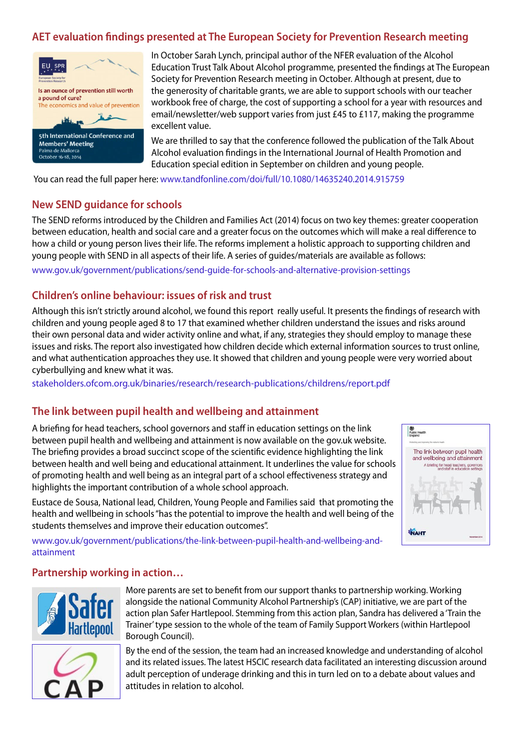# **AET evaluation findings presented at The European Society for Prevention Research meeting**



In October Sarah Lynch, principal author of the NFER evaluation of the Alcohol Education Trust Talk About Alcohol programme, presented the findings at The European Society for Prevention Research meeting in October. Although at present, due to the generosity of charitable grants, we are able to support schools with our teacher workbook free of charge, the cost of supporting a school for a year with resources and email/newsletter/web support varies from just £45 to £117, making the programme excellent value.

We are thrilled to say that the conference followed the publication of the Talk About Alcohol evaluation findings in the International Journal of Health Promotion and Education special edition in September on children and young people.

You can read the full paper here: [www.tandfonline.com/doi/full/10.1080/14635240.2014.915759](http://www.tandfonline.com/doi/full/10.1080/14635240.2014.915759)

#### **New SEND guidance for schools**

The SEND reforms introduced by the Children and Families Act (2014) focus on two key themes: greater cooperation between education, health and social care and a greater focus on the outcomes which will make a real difference to how a child or young person lives their life. The reforms implement a holistic approach to supporting children and young people with SEND in all aspects of their life. A series of guides/materials are available as follows:

[www.gov.uk/government/publications/send-guide-for-schools-and-alternative-provision-settings](https://www.gov.uk/government/publications/send-guide-for-schools-and-alternative-provision-settings )

# **Children's online behaviour: issues of risk and trust**

Although this isn't strictly around alcohol, we found this report really useful. It presents the findings of research with children and young people aged 8 to 17 that examined whether children understand the issues and risks around their own personal data and wider activity online and what, if any, strategies they should employ to manage these issues and risks. The report also investigated how children decide which external information sources to trust online, and what authentication approaches they use. It showed that children and young people were very worried about cyberbullying and knew what it was.

[stakeholders.ofcom.org.uk/binaries/research/research-publications/childrens/report.pdf](http://stakeholders.ofcom.org.uk/binaries/research/research-publications/childrens/report.pdf)

# **The link between pupil health and wellbeing and attainment**

A briefing for head teachers, school governors and staff in education settings on the link between pupil health and wellbeing and attainment is now available on the gov.uk website. The briefing provides a broad succinct scope of the scientific evidence highlighting the link between health and well being and educational attainment. It underlines the value for schools of promoting health and well being as an integral part of a school effectiveness strategy and highlights the important contribution of a whole school approach.

Eustace de Sousa, National lead, Children, Young People and Families said that promoting the health and wellbeing in schools"has the potential to improve the health and well being of the students themselves and improve their education outcomes".

[www.gov.uk/government/publications/the-link-between-pupil-health-and-wellbeing-and](https://www.gov.uk/government/publications/the-link-between-pupil-health-and-wellbeing-and-attainment)[attainment](https://www.gov.uk/government/publications/the-link-between-pupil-health-and-wellbeing-and-attainment)

#### **Partnership working in action…**



More parents are set to benefit from our support thanks to partnership working. Working alongside the national Community Alcohol Partnership's (CAP) initiative, we are part of the action plan Safer Hartlepool. Stemming from this action plan, Sandra has delivered a 'Train the Trainer'type session to the whole of the team of Family Support Workers (within Hartlepool Borough Council).



By the end of the session, the team had an increased knowledge and understanding of alcohol and its related issues. The latest HSCIC research data facilitated an interesting discussion around adult perception of underage drinking and this in turn led on to a debate about values and attitudes in relation to alcohol.